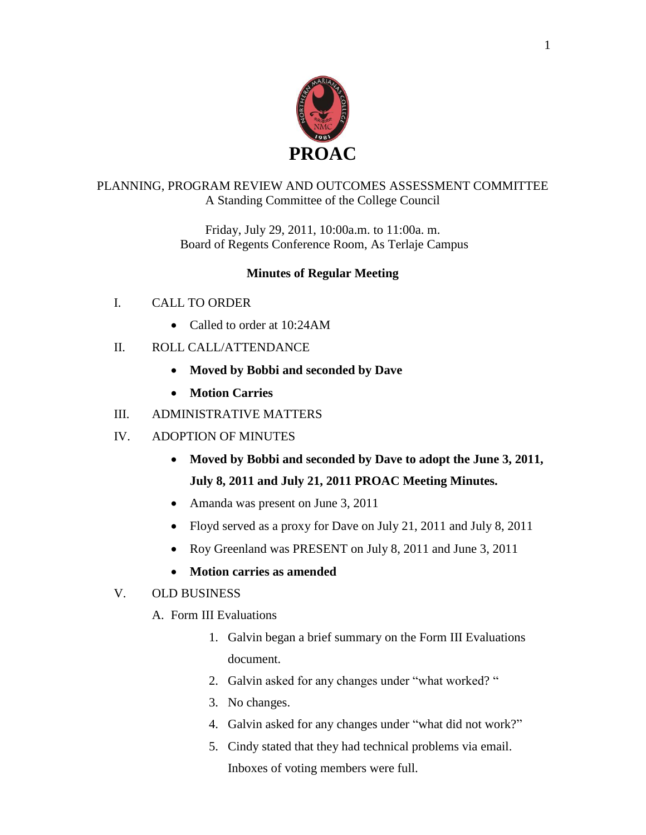

## PLANNING, PROGRAM REVIEW AND OUTCOMES ASSESSMENT COMMITTEE A Standing Committee of the College Council

Friday, July 29, 2011, 10:00a.m. to 11:00a. m. Board of Regents Conference Room, As Terlaje Campus

## **Minutes of Regular Meeting**

- I. CALL TO ORDER
	- Called to order at 10:24AM
- II. ROLL CALL/ATTENDANCE
	- **Moved by Bobbi and seconded by Dave**
	- **Motion Carries**
- III. ADMINISTRATIVE MATTERS
- IV. ADOPTION OF MINUTES
	- **Moved by Bobbi and seconded by Dave to adopt the June 3, 2011, July 8, 2011 and July 21, 2011 PROAC Meeting Minutes.**
	- Amanda was present on June 3, 2011
	- Floyd served as a proxy for Dave on July 21, 2011 and July 8, 2011
	- Roy Greenland was PRESENT on July 8, 2011 and June 3, 2011
	- **Motion carries as amended**

### V. OLD BUSINESS

- A. Form III Evaluations
	- 1. Galvin began a brief summary on the Form III Evaluations document.
	- 2. Galvin asked for any changes under "what worked? "
	- 3. No changes.
	- 4. Galvin asked for any changes under "what did not work?"
	- 5. Cindy stated that they had technical problems via email. Inboxes of voting members were full.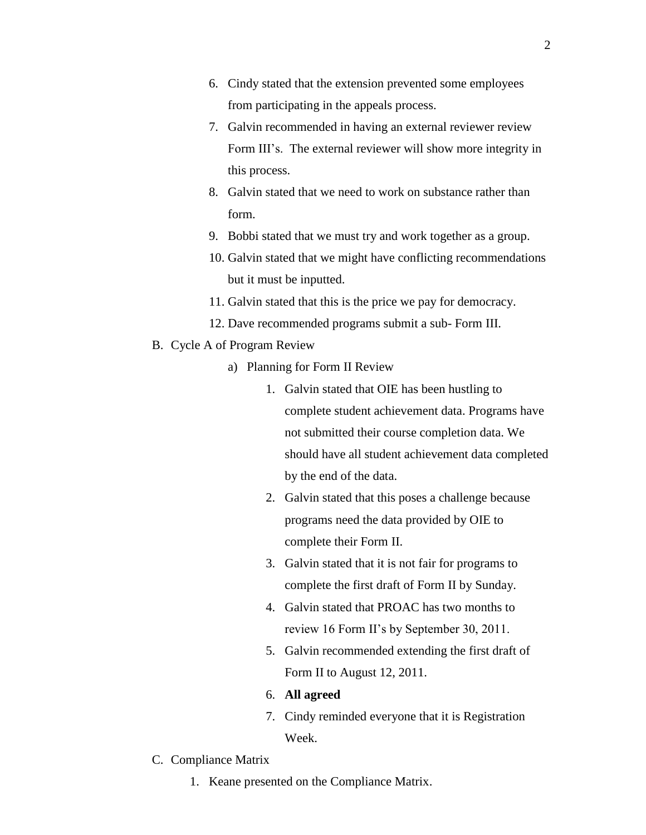- 6. Cindy stated that the extension prevented some employees from participating in the appeals process.
- 7. Galvin recommended in having an external reviewer review Form III's. The external reviewer will show more integrity in this process.
- 8. Galvin stated that we need to work on substance rather than form.
- 9. Bobbi stated that we must try and work together as a group.
- 10. Galvin stated that we might have conflicting recommendations but it must be inputted.
- 11. Galvin stated that this is the price we pay for democracy.
- 12. Dave recommended programs submit a sub- Form III.
- B. Cycle A of Program Review
	- a) Planning for Form II Review
		- 1. Galvin stated that OIE has been hustling to complete student achievement data. Programs have not submitted their course completion data. We should have all student achievement data completed by the end of the data.
		- 2. Galvin stated that this poses a challenge because programs need the data provided by OIE to complete their Form II.
		- 3. Galvin stated that it is not fair for programs to complete the first draft of Form II by Sunday.
		- 4. Galvin stated that PROAC has two months to review 16 Form II's by September 30, 2011.
		- 5. Galvin recommended extending the first draft of Form II to August 12, 2011.
		- 6. **All agreed**
		- 7. Cindy reminded everyone that it is Registration Week.
- C. Compliance Matrix
	- 1. Keane presented on the Compliance Matrix.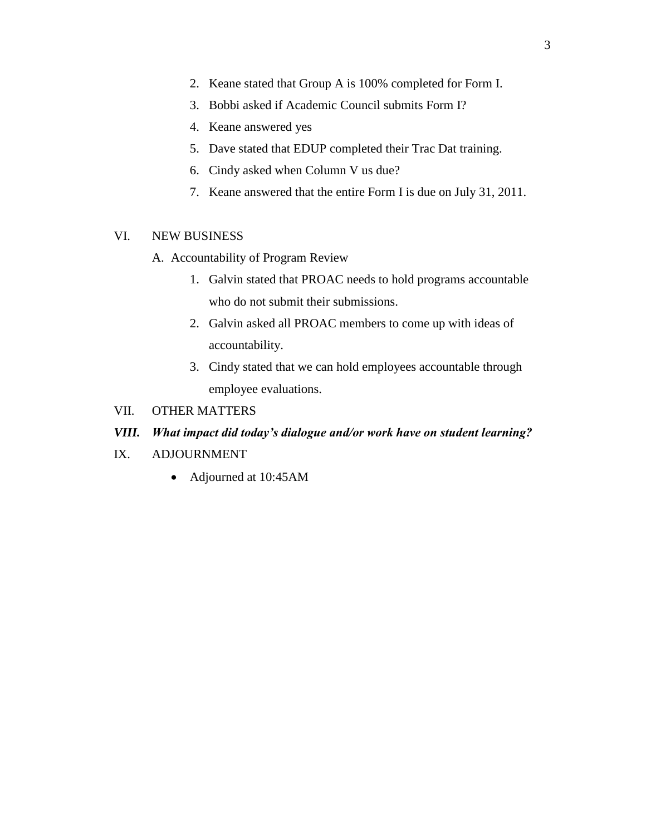- 2. Keane stated that Group A is 100% completed for Form I.
- 3. Bobbi asked if Academic Council submits Form I?
- 4. Keane answered yes
- 5. Dave stated that EDUP completed their Trac Dat training.
- 6. Cindy asked when Column V us due?
- 7. Keane answered that the entire Form I is due on July 31, 2011.

#### VI. NEW BUSINESS

- A. Accountability of Program Review
	- 1. Galvin stated that PROAC needs to hold programs accountable who do not submit their submissions.
	- 2. Galvin asked all PROAC members to come up with ideas of accountability.
	- 3. Cindy stated that we can hold employees accountable through employee evaluations.
- VII. OTHER MATTERS

#### *VIII. What impact did today's dialogue and/or work have on student learning?*

- IX. ADJOURNMENT
	- Adjourned at 10:45AM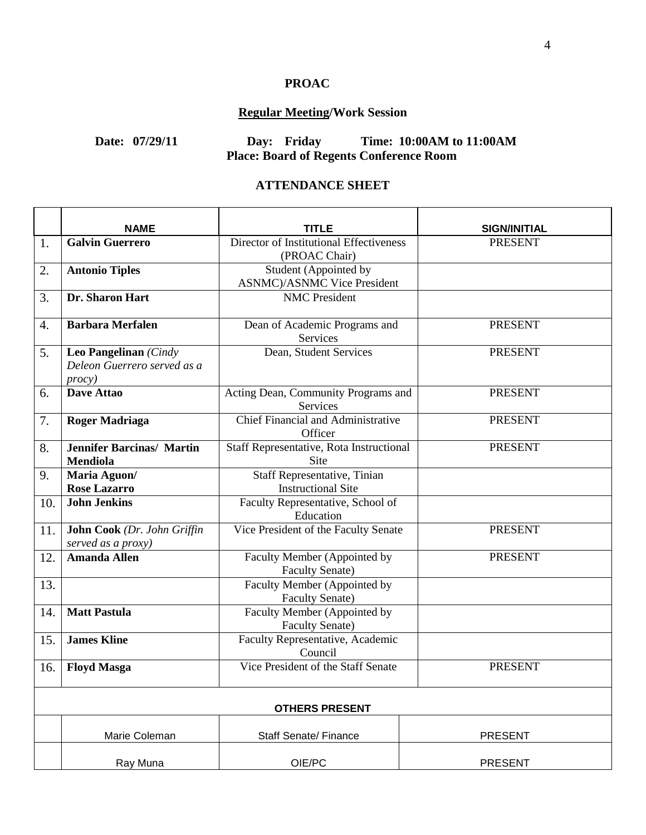# **PROAC**

# **Regular Meeting/Work Session**

# **Date: 07/29/11 Day: Friday Time: 10:00AM to 11:00AM Place: Board of Regents Conference Room**

#### **ATTENDANCE SHEET**

|     | <b>NAME</b>                                                            | TITLE                                                        | <b>SIGN/INITIAL</b> |  |  |
|-----|------------------------------------------------------------------------|--------------------------------------------------------------|---------------------|--|--|
| 1.  | <b>Galvin Guerrero</b>                                                 | Director of Institutional Effectiveness<br>(PROAC Chair)     | <b>PRESENT</b>      |  |  |
| 2.  | <b>Antonio Tiples</b>                                                  | Student (Appointed by<br><b>ASNMC</b> )/ASNMC Vice President |                     |  |  |
| 3.  | Dr. Sharon Hart                                                        | <b>NMC</b> President                                         |                     |  |  |
| 4.  | <b>Barbara Merfalen</b>                                                | Dean of Academic Programs and<br>Services                    | <b>PRESENT</b>      |  |  |
| 5.  | Leo Pangelinan (Cindy<br>Deleon Guerrero served as a<br><i>procy</i> ) | Dean, Student Services                                       | <b>PRESENT</b>      |  |  |
| 6.  | Dave Attao                                                             | Acting Dean, Community Programs and<br>Services              | <b>PRESENT</b>      |  |  |
| 7.  | <b>Roger Madriaga</b>                                                  | Chief Financial and Administrative<br>Officer                | <b>PRESENT</b>      |  |  |
| 8.  | <b>Jennifer Barcinas/ Martin</b><br><b>Mendiola</b>                    | Staff Representative, Rota Instructional<br>Site             | <b>PRESENT</b>      |  |  |
| 9.  | Maria Aguon/<br><b>Rose Lazarro</b>                                    | Staff Representative, Tinian<br><b>Instructional Site</b>    |                     |  |  |
| 10. | <b>John Jenkins</b>                                                    | Faculty Representative, School of<br>Education               |                     |  |  |
| 11. | John Cook (Dr. John Griffin<br>served as a proxy)                      | Vice President of the Faculty Senate                         | <b>PRESENT</b>      |  |  |
| 12. | <b>Amanda Allen</b>                                                    | Faculty Member (Appointed by<br><b>Faculty Senate)</b>       | <b>PRESENT</b>      |  |  |
| 13. |                                                                        | Faculty Member (Appointed by<br><b>Faculty Senate)</b>       |                     |  |  |
| 14. | <b>Matt Pastula</b>                                                    | Faculty Member (Appointed by<br><b>Faculty Senate)</b>       |                     |  |  |
| 15. | <b>James Kline</b>                                                     | Faculty Representative, Academic<br>Council                  |                     |  |  |
| 16. | <b>Floyd Masga</b>                                                     | Vice President of the Staff Senate                           | <b>PRESENT</b>      |  |  |
|     | <b>OTHERS PRESENT</b>                                                  |                                                              |                     |  |  |
|     | Marie Coleman                                                          | <b>Staff Senate/ Finance</b>                                 | <b>PRESENT</b>      |  |  |
|     | Ray Muna                                                               | OIE/PC                                                       | <b>PRESENT</b>      |  |  |